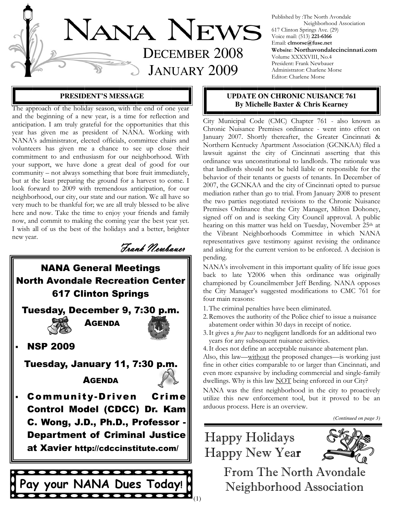

Published by :The North Avondale Neighborhood Association 617 Clinton Springs Ave. (29) Voice mail: (513) 221-6166 Email: clmorse@fuse.net Website: Northavondalecincinnati.com Volume XXXXVIII, No.4 President: Frank Newbauer Administrator: Charlene Morse Editor: Charlene Morse

## **PRESIDENT'S MESSAGE**

**By Michelle Baxter & Chris Kearney Reproach of the holiday season, with the end of one year By Michelle Baxter & Chris Kearney** and the beginning of a new year, is a time for reflection and anticipation. I am truly grateful for the opportunities that this year has given me as president of NANA. Working with NANA's administrator, elected officials, committee chairs and volunteers has given me a chance to see up close their commitment to and enthusiasm for our neighborhood. With your support, we have done a great deal of good for our community – not always something that bore fruit immediately, but at the least preparing the ground for a harvest to come. I look forward to 2009 with tremendous anticipation, for our neighborhood, our city, our state and our nation. We all have so very much to be thankful for; we are all truly blessed to be alive here and now. Take the time to enjoy your friends and family now, and commit to making the coming year the best year yet. I wish all of us the best of the holidays and a better, brighter new year.

Frank Newbauer

## NANA General Meetings North Avondale Recreation Center 617 Clinton Springs Tuesday, December 9, 7:30 p.m.



AGENDA



## **NSP 2009**

.Tuesday, January 11, 7:30 p.m.

**AGENDA** 



Community-Driven Crime Control Model (CDCC) Dr. Kam C. Wong, J.D., Ph.D., Professor - Department of Criminal Justice at Xavier http://cdccinstitute.com/



# **UPDATE ON CHRONIC NUISANCE 761**

City Municipal Code (CMC) Chapter 761 - also known as Chronic Nuisance Premises ordinance - went into effect on January 2007. Shortly thereafter, the Greater Cincinnati & Northern Kentucky Apartment Association (GCNKAA) filed a lawsuit against the city of Cincinnati asserting that this ordinance was unconstitutional to landlords. The rationale was that landlords should not be held liable or responsible for the behavior of their tenants or guests of tenants. In December of 2007, the GCNKAA and the city of Cincinnati opted to pursue mediation rather than go to trial. From January 2008 to present the two parties negotiated revisions to the Chronic Nuisance Premises Ordinance that the City Manager, Milton Dohoney, signed off on and is seeking City Council approval. A public hearing on this matter was held on Tuesday, November 25<sup>th</sup> at the Vibrant Neighborhoods Committee in which NANA representatives gave testimony against revising the ordinance and asking for the current version to be enforced. A decision is pending.

NANA's involvement in this important quality of life issue goes back to late Y2006 when this ordinance was originally championed by Councilmember Jeff Berding. NANA opposes the City Manager's suggested modifications to CMC 761 for four main reasons:

- 1. The criminal penalties have been eliminated.
- 2. Removes the authority of the Police chief to issue a nuisance abatement order within 30 days in receipt of notice.
- 3. It gives a free pass to negligent landlords for an additional two years for any subsequent nuisance activities.

4. It does not define an acceptable nuisance abatement plan.

Also, this law—without the proposed changes—is working just fine in other cities comparable to or larger than Cincinnati, and even more expansive by including commercial and single-family dwellings. Why is this law **NOT** being enforced in our City?

NANA was the first neighborhood in the city to proactively utilize this new enforcement tool, but it proved to be an arduous process. Here is an overview.

*(Continued on page 3)* 

## Happy Holidays Happy New Year



From The North Avondale Neighborhood Association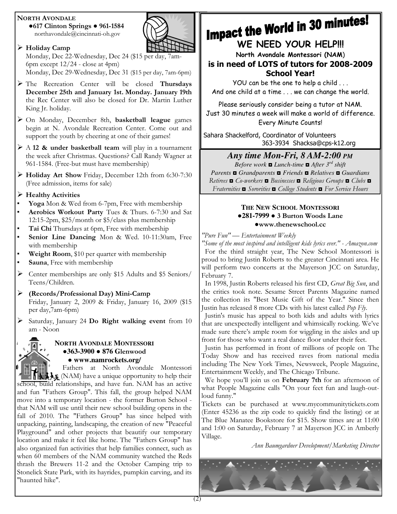## NORTH AVONDALE

●617 Clinton Springs ● 961-1584 northavondale@cincinnati-oh.gov



## Holiday Camp

Monday, Dec 22-Wednesday, Dec 24 (\$15 per day, 7am-6pm except 12/24 - close at 4pm)

Monday, Dec 29-Wednesday, Dec 31 (\$15 per day, 7am-6pm)

- > The Recreation Center will be closed Thursdays December 25th and January 1st. Monday. January 19th the Rec Center will also be closed for Dr. Martin Luther King Jr. holiday.
- > On Monday, December 8th, basketball league games begin at N. Avondale Recreation Center. Come out and support the youth by cheering at one of their games!
- $\triangleright$  A 12 & under basketball team will play in a tournament the week after Christmas. Questions? Call Randy Wagner at 961-1584. (Free-but must have membership)
- Holiday Art Show Friday, December 12th from 6:30-7:30 (Free admission, items for sale)
- $\triangleright$  Healthy Activities
- Yoga Mon & Wed from 6-7pm, Free with membership
- Aerobics Workout Party Tues & Thurs. 6-7:30 and Sat 12:15-2pm, \$25/month or \$5/class plus membership
- Tai Chi Thursdays at 6pm, Free with membership
- Senior Line Dancing Mon & Wed. 10-11:30am, Free with membership
- Weight Room, \$10 per quarter with membership
- Sauna, Free with membership
- Center memberships are only \$15 Adults and \$5 Seniors/ Teens/Children.

 (Records/Professional Day) Mini-Camp Friday, January 2, 2009 & Friday, January 16, 2009 (\$15 per day,7am-6pm)

 $\triangleright$  Saturday, January 24 Do Right walking event from 10 am - Noon

## **NORTH AVONDALE MONTESSORI** ●**363-3900** ● **876 G**lenwood ● **www.namrockets.org/**

 Fathers at North Avondale Montessori **ALS** (NAM) have a unique opportunity to help their school, build relationships, and have fun. NAM has an active and fun "Fathers Group". This fall, the group helped NAM move into a temporary location - the former Burton School that NAM will use until their new school building opens in the fall of 2010. The "Fathers Group" has since helped with unpacking, painting, landscaping, the creation of new "Peaceful Playground" and other projects that beautify our temporary location and make it feel like home. The "Fathers Group" has also organized fun activities that help families connect, such as when 60 members of the NAM community watched the Reds thrash the Brewers 11-2 and the October Camping trip to Stonelick State Park, with its hayrides, pumpkin carving, and its "haunted hike".

# **Impact the World in 30 minutes!**<br>WE NEED YOUR HELP!!!

North Avondale Montessori (NAM) is in need of LOTS of tutors for 2008-2009

School Year!

YOU can be the one to help a child . . . And one child at a time . . . we can change the world.

Please seriously consider being a tutor at NAM. Just 30 minutes a week will make a world of difference.

Every Minute Counts! Sahara Shackelford, Coordinator of Volunteers

363-3934 Shacksa@cps-k12.org

## *Any time Mon-Fri, 8 AM-2:00 PM*

*Before work* ◘ *Lunch-time* ◘ *After 3rd shift Parents* ◘ *Grandparents* ◘ *Friends* ◘ *Relatives* ◘ *Guardians*  Retirees ◘ Co-workers ◘ Businesses ◘ Religious Groups ◘ Clubs ◘ Fraternities ◘ Sororities ◘ College Students ◘ For Service Hours

## **THE NEW SCHOOL MONTESSORI** ●**281-7999** ● 3 Burton Woods Lane ●www.thenewschool.cc

"Pure Fun" — Entertainment Weekly

"Some of the most inspired and intelligent kids lyrics ever." - Amazon.com For the third straight year, The New School Montessori is proud to bring Justin Roberts to the greater Cincinnati area. He will perform two concerts at the Mayerson JCC on Saturday, February 7.

 In 1998, Justin Roberts released his first CD, Great Big Sun, and the critics took note. Sesame Street Parents Magazine named the collection its "Best Music Gift of the Year." Since then Justin has released 8 more CDs with his latest called Pop Fly.

 Justin's music has appeal to both kids and adults with lyrics that are unexpectedly intelligent and whimsically rocking. We've made sure there's ample room for wiggling in the aisles and up front for those who want a real dance floor under their feet.

 Justin has performed in front of millions of people on The Today Show and has received raves from national media including The New York Times, Newsweek, People Magazine, Entertainment Weekly, and The Chicago Tribune.

We hope you'll join us on February 7th for an afternoon of what People Magazine calls "On your feet fun and laugh-outloud funny."

Tickets can be purchased at www.mycommunitytickets.com (Enter 45236 as the zip code to quickly find the listing) or at The Blue Manatee Bookstore for \$15. Show times are at 11:00 and 1:00 on Saturday, February 7 at Mayerson JCC in Amberly Village.

Ann Baumgardner Development/Marketing Director

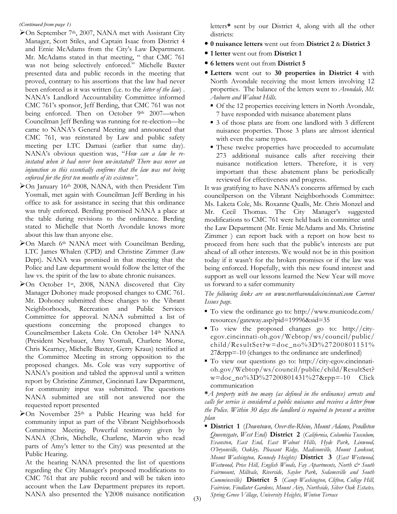### *(Continued from page 1)*

- On September 7th, 2007, NANA met with Assistant City Manager, Scott Stiles, and Captain Isaac from District 4 and Ernie McAdams from the City's Law Department. Mr. McAdams stated in that meeting, " that CMC 761 was not being selectively enforced." Michelle Baxter presented data and public records in the meeting that proved, contrary to his assertions that the law had never been enforced as it was written (i.e. to the letter of the law). NANA's Landlord Accountability Committee informed CMC 761's sponsor, Jeff Berding, that CMC 761 was not being enforced. Then on October 9<sup>th</sup> 2007—when Councilman Jeff Berding was running for re-election—he came to NANA's General Meeting and announced that CMC 761, was reinstated by Law and public safety meeting per LTC Damasi (earlier that same day). NANA's obvious question was, "How can a law be reinstated when it had never been un-instated? There was never an injunction so this essentially confirms that the law was not being enforced for the first ten months of its existence".
- $\geq$ On January 16<sup>th</sup> 2008, NANA, with then President Tim Yosmali, met again with Councilman Jeff Berding in his office to ask for assistance in seeing that this ordinance was truly enforced. Berding promised NANA a place at the table during revisions to the ordinance. Berding stated to Michelle that North Avondale knows more about this law than anyone else.
- >On March 6<sup>th</sup> NANA meet with Councilman Berding, LTC James Whalen (CPD) and Christine Zimmer (Law Dept). NANA was promised in that meeting that the Police and Law department would follow the letter of the law vs. the spirit of the law to abate chronic nuisances.
- $\triangleright$  On October 1<sup>st</sup>, 2008, NANA discovered that City Manager Dohoney made proposed changes to CMC 761. Mr. Dohoney submitted these changes to the Vibrant Neighborhoods, Recreation and Public Services Committee for approval. NANA submitted a list of questions concerning the proposed changes to Councilmember Laketa Cole. On October 14th NANA (President Newbauer, Amy Yosmali, Charlene Morse, Chris Kearney, Michelle Baxter, Gerry Kraus) testified at the Committee Meeting in strong opposition to the proposed changes. Ms. Cole was very supportive of NANA's position and tabled the approval until a written report by Christine Zimmer, Cincinnati Law Department, for community input was submitted. The questions NANA submitted are still not answered nor the requested report presented
- $\geq$ On November 25<sup>th</sup> a Public Hearing was held for community input as part of the Vibrant Neighborhoods Committee Meeting. Powerful testimony given by NANA (Chris, Michelle, Charlene, Marvin who read parts of Amy's letter to the City) was presented at the Public Hearing.

At the hearing NANA presented the list of questions regarding the City Manager's proposed modifications to CMC 761 that are public record and will be taken into account when the Law Department prepares its report. NANA also presented the Y2008 nuisance notification

letters\* sent by our District 4, along with all the other districts:

- 0 nuisance letters went out from District 2 & District 3
- 1 letter went out from District 1
- 6 letters went out from District 5
- Letters went out to 30 properties in District 4 with North Avondale receiving the most letters involving 12 properties. The balance of the letters went to Avondale, Mt. Auburn and Walnut Hills.
	- Of the 12 properties receiving letters in North Avondale, 7 have responded with nuisance abatement plans
	- 3 of those plans are from one landlord with 3 different nuisance properties. Those 3 plans are almost identical with even the same typos.
	- These twelve properties have proceeded to accumulate 273 additional nuisance calls after receiving their nuisance notification letters. Therefore, it is very important that these abatement plans be periodically reviewed for effectiveness and progress.

It was gratifying to have NANA's concerns affirmed by each councilperson on the Vibrant Neighborhoods Committee: Ms. Laketa Cole, Ms. Roxanne Qualls, Mr. Chris Monzel and Mr. Cecil Thomas. The City Manager's suggested modifications to CMC 761 were held back in committee until the Law Department (Mr. Ernie McAdams and Ms. Christine Zimmer ) can report back with a report on how best to proceed from here such that the public's interests are put ahead of all other interests. We would not be in this position today if it wasn't for the broken promises or if the law was being enforced. Hopefully, with this new found interest and support as well our lessons learned the New Year will move us forward to a safer community

The following links are on www.northavondalecincinnati.com Current Issues page.

- To view the ordinance go to: http://www.municode.com/ resources/gateway.asp?pid=19996&sid=35
- To view the proposed changes go to: http://cityegov.cincinnati-oh.gov/Webtop/ws/council/public/ child/ResultSet?w=doc\_no%3D%27200801151% 27&rpp=-10 (changes to the ordinance are underlined)
- To view our questions go to: http://city-egov.cincinnatioh.gov/Webtop/ws/council/public/child/ResultSet? w=doc\_no%3D%27200801431%27&rpp=-10 Click communication

 $*A$  property with too many (as defined in the ordinance) arrests and calls for service is considered a public nuisance and receives a letter from the Police. Within 30 days the landlord is required to present a written plan

**• District 1** (Downtown, Over-the-Rhine, Mount Adams, Pendleton Queensgate, West End) District 2 (California, Columbia Tusculum, Evanston, East End, East Walnut Hills, Hyde Park, Linwood, O'bryonville, Oakley, Pleasant Ridge, Madisonville, Mount Lookout, Mount Washington, Kennedy Heights) District 3 (East Westwood, Westwood, Price Hill, English Woods, Fay Apartments, North  $\dot{\mathcal{C}}$  South Fairmount, Millvale, Riverside, Saylor Park, Sedamsville and South Cumminsville) District 5 (Camp Washington, Clifton, College Hill, Fairview, Findlater Gardens, Mount Airy, Northside, Silver Oak Estates, Spring Grove Village, University Heights, Winton Terrace